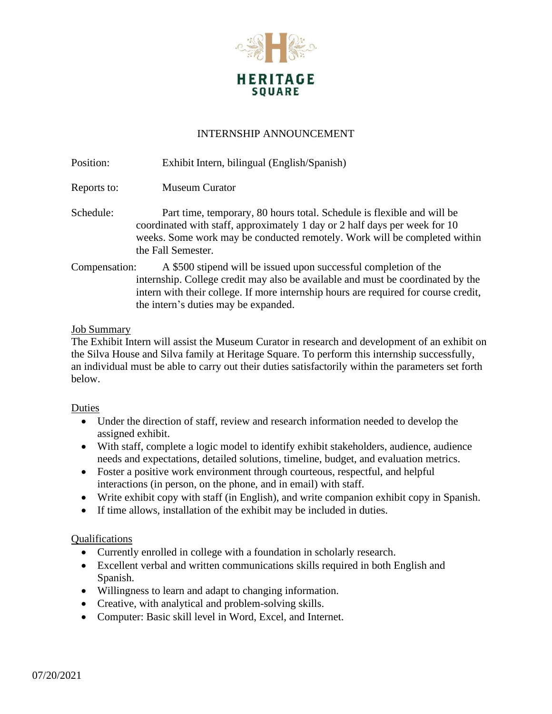

## INTERNSHIP ANNOUNCEMENT

Position: Exhibit Intern, bilingual (English/Spanish)

- Reports to: Museum Curator
- Schedule: Part time, temporary, 80 hours total. Schedule is flexible and will be coordinated with staff, approximately 1 day or 2 half days per week for 10 weeks. Some work may be conducted remotely. Work will be completed within the Fall Semester.
- Compensation: A \$500 stipend will be issued upon successful completion of the internship. College credit may also be available and must be coordinated by the intern with their college. If more internship hours are required for course credit, the intern's duties may be expanded.

#### Job Summary

The Exhibit Intern will assist the Museum Curator in research and development of an exhibit on the Silva House and Silva family at Heritage Square. To perform this internship successfully, an individual must be able to carry out their duties satisfactorily within the parameters set forth below.

#### Duties

- Under the direction of staff, review and research information needed to develop the assigned exhibit.
- With staff, complete a logic model to identify exhibit stakeholders, audience, audience needs and expectations, detailed solutions, timeline, budget, and evaluation metrics.
- Foster a positive work environment through courteous, respectful, and helpful interactions (in person, on the phone, and in email) with staff.
- Write exhibit copy with staff (in English), and write companion exhibit copy in Spanish.
- If time allows, installation of the exhibit may be included in duties.

### Qualifications

- Currently enrolled in college with a foundation in scholarly research.
- Excellent verbal and written communications skills required in both English and Spanish.
- Willingness to learn and adapt to changing information.
- Creative, with analytical and problem-solving skills.
- Computer: Basic skill level in Word, Excel, and Internet.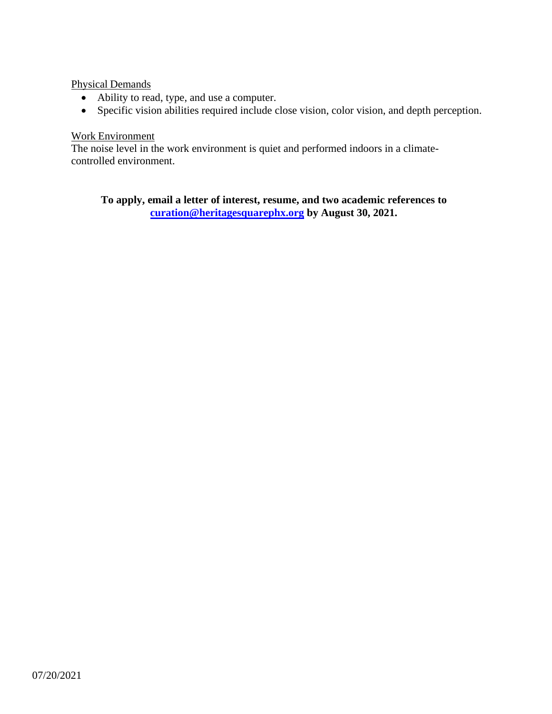Physical Demands

- Ability to read, type, and use a computer.
- Specific vision abilities required include close vision, color vision, and depth perception.

# Work Environment

The noise level in the work environment is quiet and performed indoors in a climatecontrolled environment.

**To apply, email a letter of interest, resume, and two academic references to [curation@heritagesquarephx.org](mailto:curation@heritagesquarephx.org) by August 30, 2021.**